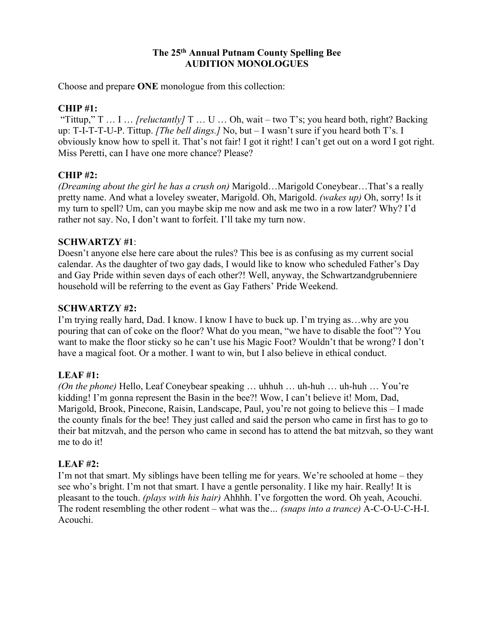## **The 25th Annual Putnam County Spelling Bee AUDITION MONOLOGUES**

Choose and prepare **ONE** monologue from this collection:

## **CHIP #1:**

"Tittup," T … I … *[reluctantly]* T … U … Oh, wait – two T's; you heard both, right? Backing up: T-I-T-T-U-P. Tittup. *[The bell dings.]* No, but – I wasn't sure if you heard both T's. I obviously know how to spell it. That's not fair! I got it right! I can't get out on a word I got right. Miss Peretti, can I have one more chance? Please?

# **CHIP #2:**

*(Dreaming about the girl he has a crush on)* Marigold…Marigold Coneybear…That's a really pretty name. And what a loveley sweater, Marigold. Oh, Marigold. *(wakes up)* Oh, sorry! Is it my turn to spell? Um, can you maybe skip me now and ask me two in a row later? Why? I'd rather not say. No, I don't want to forfeit. I'll take my turn now.

#### **SCHWARTZY #1**:

Doesn't anyone else here care about the rules? This bee is as confusing as my current social calendar. As the daughter of two gay dads, I would like to know who scheduled Father's Day and Gay Pride within seven days of each other?! Well, anyway, the Schwartzandgrubenniere household will be referring to the event as Gay Fathers' Pride Weekend.

#### **SCHWARTZY #2:**

I'm trying really hard, Dad. I know. I know I have to buck up. I'm trying as…why are you pouring that can of coke on the floor? What do you mean, "we have to disable the foot"? You want to make the floor sticky so he can't use his Magic Foot? Wouldn't that be wrong? I don't have a magical foot. Or a mother. I want to win, but I also believe in ethical conduct.

# **LEAF #1:**

*(On the phone)* Hello, Leaf Coneybear speaking … uhhuh … uh-huh … uh-huh … You're kidding! I'm gonna represent the Basin in the bee?! Wow, I can't believe it! Mom, Dad, Marigold, Brook, Pinecone, Raisin, Landscape, Paul, you're not going to believe this – I made the county finals for the bee! They just called and said the person who came in first has to go to their bat mitzvah, and the person who came in second has to attend the bat mitzvah, so they want me to do it!

#### **LEAF #2:**

I'm not that smart. My siblings have been telling me for years. We're schooled at home – they see who's bright. I'm not that smart. I have a gentle personality. I like my hair. Really! It is pleasant to the touch. *(plays with his hair)* Ahhhh. I've forgotten the word. Oh yeah, Acouchi. The rodent resembling the other rodent – what was the*… (snaps into a trance)* A-C-O-U-C-H-I. Acouchi.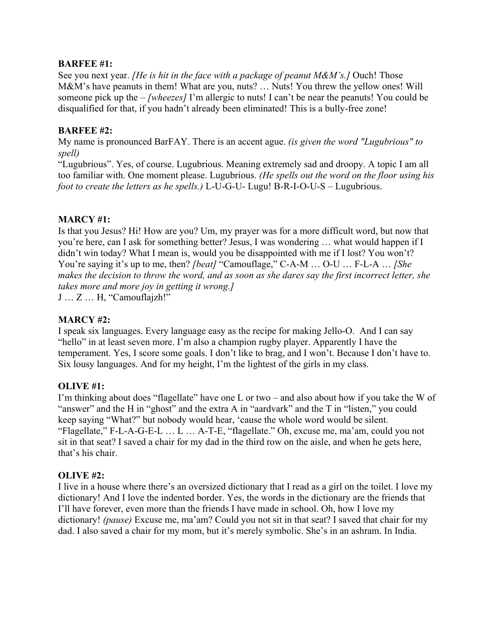### **BARFEE #1:**

See you next year. *[He is hit in the face with a package of peanut M&M's.]* Ouch! Those M&M's have peanuts in them! What are you, nuts? … Nuts! You threw the yellow ones! Will someone pick up the – *[wheezes]* I'm allergic to nuts! I can't be near the peanuts! You could be disqualified for that, if you hadn't already been eliminated! This is a bully-free zone!

## **BARFEE #2:**

My name is pronounced BarFAY. There is an accent ague. *(is given the word "Lugubrious" to spell)*

"Lugubrious". Yes, of course. Lugubrious. Meaning extremely sad and droopy. A topic I am all too familiar with. One moment please. Lugubrious. *(He spells out the word on the floor using his foot to create the letters as he spells.)* L-U-G-U- Lugu! B-R-I-O-U-S – Lugubrious.

# **MARCY #1:**

Is that you Jesus? Hi! How are you? Um, my prayer was for a more difficult word, but now that you're here, can I ask for something better? Jesus, I was wondering … what would happen if I didn't win today? What I mean is, would you be disappointed with me if I lost? You won't? You're saying it's up to me, then? *[beat]* "Camouflage," C-A-M … O-U … F-L-A … *[She makes the decision to throw the word, and as soon as she dares say the first incorrect letter, she takes more and more joy in getting it wrong.]* 

J … Z … H, "Camouflajzh!"

# **MARCY #2:**

I speak six languages. Every language easy as the recipe for making Jello-O. And I can say "hello" in at least seven more. I'm also a champion rugby player. Apparently I have the temperament. Yes, I score some goals. I don't like to brag, and I won't. Because I don't have to. Six lousy languages. And for my height, I'm the lightest of the girls in my class.

# **OLIVE #1:**

I'm thinking about does "flagellate" have one L or two – and also about how if you take the W of "answer" and the H in "ghost" and the extra A in "aardvark" and the T in "listen," you could keep saying "What?" but nobody would hear, 'cause the whole word would be silent. "Flagellate," F-L-A-G-E-L … L … A-T-E, "flagellate." Oh, excuse me, ma'am, could you not sit in that seat? I saved a chair for my dad in the third row on the aisle, and when he gets here, that's his chair.

# **OLIVE #2:**

I live in a house where there's an oversized dictionary that I read as a girl on the toilet. I love my dictionary! And I love the indented border. Yes, the words in the dictionary are the friends that I'll have forever, even more than the friends I have made in school. Oh, how I love my dictionary! *(pause)* Excuse me, ma'am? Could you not sit in that seat? I saved that chair for my dad. I also saved a chair for my mom, but it's merely symbolic. She's in an ashram. In India.